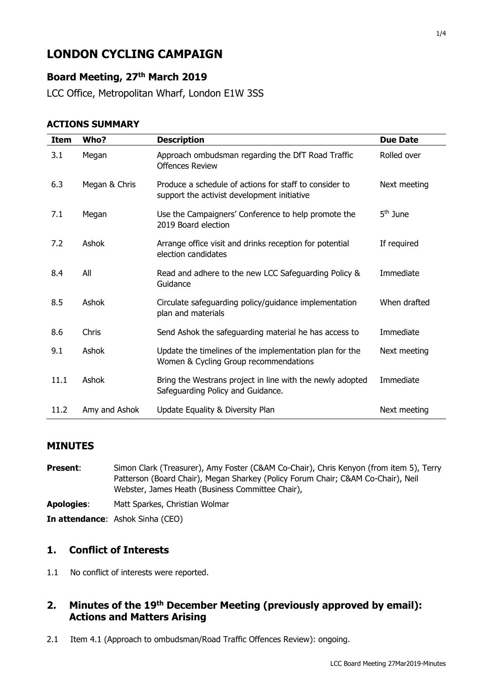# **LONDON CYCLING CAMPAIGN**

# **Board Meeting, 27th March 2019**

LCC Office, Metropolitan Wharf, London E1W 3SS

#### **ACTIONS SUMMARY**

| <b>Item</b> | Who?          | <b>Description</b>                                                                                    | <b>Due Date</b> |
|-------------|---------------|-------------------------------------------------------------------------------------------------------|-----------------|
| 3.1         | Megan         | Approach ombudsman regarding the DfT Road Traffic<br><b>Offences Review</b>                           | Rolled over     |
| 6.3         | Megan & Chris | Produce a schedule of actions for staff to consider to<br>support the activist development initiative | Next meeting    |
| 7.1         | Megan         | Use the Campaigners' Conference to help promote the<br>2019 Board election                            | $5th$ June      |
| 7.2         | Ashok         | Arrange office visit and drinks reception for potential<br>election candidates                        | If required     |
| 8.4         | All           | Read and adhere to the new LCC Safeguarding Policy &<br>Guidance                                      | Immediate       |
| 8.5         | Ashok         | Circulate safeguarding policy/guidance implementation<br>plan and materials                           | When drafted    |
| 8.6         | Chris         | Send Ashok the safeguarding material he has access to                                                 | Immediate       |
| 9.1         | Ashok         | Update the timelines of the implementation plan for the<br>Women & Cycling Group recommendations      | Next meeting    |
| 11.1        | Ashok         | Bring the Westrans project in line with the newly adopted<br>Safeguarding Policy and Guidance.        | Immediate       |
| 11.2        | Amy and Ashok | Update Equality & Diversity Plan                                                                      | Next meeting    |

#### **MINUTES**

**Present:** Simon Clark (Treasurer), Amy Foster (C&AM Co-Chair), Chris Kenyon (from item 5), Terry Patterson (Board Chair), Megan Sharkey (Policy Forum Chair; C&AM Co-Chair), Neil Webster, James Heath (Business Committee Chair),

**Apologies**: Matt Sparkes, Christian Wolmar

**In attendance**: Ashok Sinha (CEO)

### **1. Conflict of Interests**

1.1 No conflict of interests were reported.

### **2. Minutes of the 19th December Meeting (previously approved by email): Actions and Matters Arising**

2.1 Item 4.1 (Approach to ombudsman/Road Traffic Offences Review): ongoing.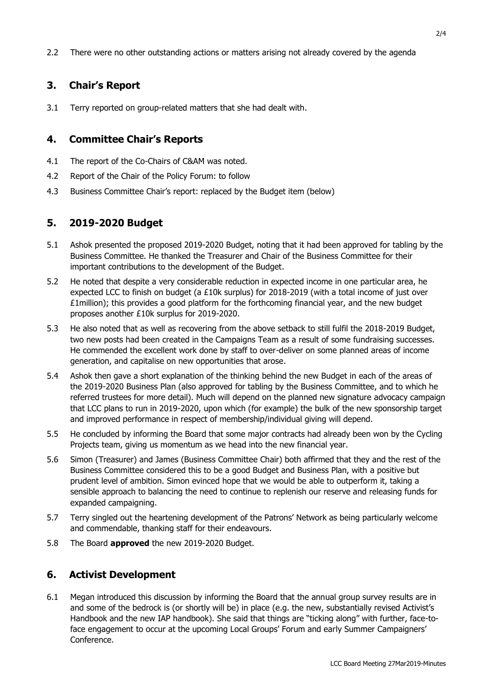2.2 There were no other outstanding actions or matters arising not already covered by the agenda

# **3. Chair's Report**

3.1 Terry reported on group-related matters that she had dealt with.

## **4. Committee Chair's Reports**

- 4.1 The report of the Co-Chairs of C&AM was noted.
- 4.2 Report of the Chair of the Policy Forum: to follow
- 4.3 Business Committee Chair's report: replaced by the Budget item (below)

# **5. 2019-2020 Budget**

- 5.1 Ashok presented the proposed 2019-2020 Budget, noting that it had been approved for tabling by the Business Committee. He thanked the Treasurer and Chair of the Business Committee for their important contributions to the development of the Budget.
- 5.2 He noted that despite a very considerable reduction in expected income in one particular area, he expected LCC to finish on budget (a £10k surplus) for 2018-2019 (with a total income of just over £1million); this provides a good platform for the forthcoming financial year, and the new budget proposes another £10k surplus for 2019-2020.
- 5.3 He also noted that as well as recovering from the above setback to still fulfil the 2018-2019 Budget, two new posts had been created in the Campaigns Team as a result of some fundraising successes. He commended the excellent work done by staff to over-deliver on some planned areas of income generation, and capitalise on new opportunities that arose.
- 5.4 Ashok then gave a short explanation of the thinking behind the new Budget in each of the areas of the 2019-2020 Business Plan (also approved for tabling by the Business Committee, and to which he referred trustees for more detail). Much will depend on the planned new signature advocacy campaign that LCC plans to run in 2019-2020, upon which (for example) the bulk of the new sponsorship target and improved performance in respect of membership/individual giving will depend.
- 5.5 He concluded by informing the Board that some major contracts had already been won by the Cycling Projects team, giving us momentum as we head into the new financial year.
- 5.6 Simon (Treasurer) and James (Business Committee Chair) both affirmed that they and the rest of the Business Committee considered this to be a good Budget and Business Plan, with a positive but prudent level of ambition. Simon evinced hope that we would be able to outperform it, taking a sensible approach to balancing the need to continue to replenish our reserve and releasing funds for expanded campaigning.
- 5.7 Terry singled out the heartening development of the Patrons' Network as being particularly welcome and commendable, thanking staff for their endeavours.
- 5.8 The Board **approved** the new 2019-2020 Budget.

# **6. Activist Development**

6.1 Megan introduced this discussion by informing the Board that the annual group survey results are in and some of the bedrock is (or shortly will be) in place (e.g. the new, substantially revised Activist's Handbook and the new IAP handbook). She said that things are "ticking along" with further, face-toface engagement to occur at the upcoming Local Groups' Forum and early Summer Campaigners' Conference.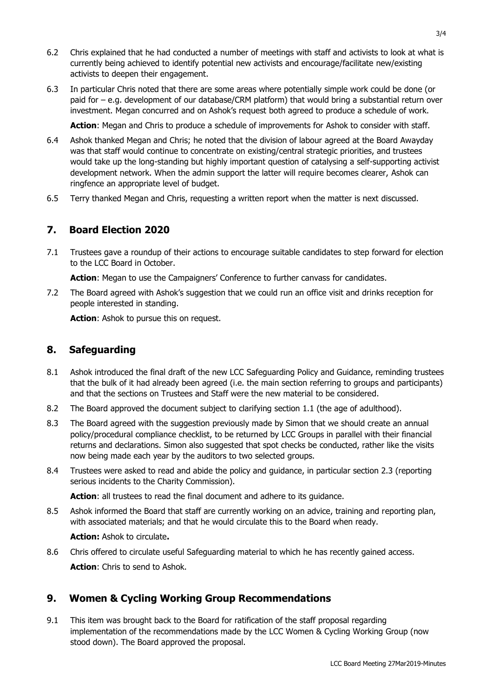- 6.2 Chris explained that he had conducted a number of meetings with staff and activists to look at what is currently being achieved to identify potential new activists and encourage/facilitate new/existing activists to deepen their engagement.
- 6.3 In particular Chris noted that there are some areas where potentially simple work could be done (or paid for – e.g. development of our database/CRM platform) that would bring a substantial return over investment. Megan concurred and on Ashok's request both agreed to produce a schedule of work.

**Action**: Megan and Chris to produce a schedule of improvements for Ashok to consider with staff.

- 6.4 Ashok thanked Megan and Chris; he noted that the division of labour agreed at the Board Awayday was that staff would continue to concentrate on existing/central strategic priorities, and trustees would take up the long-standing but highly important question of catalysing a self-supporting activist development network. When the admin support the latter will require becomes clearer, Ashok can ringfence an appropriate level of budget.
- 6.5 Terry thanked Megan and Chris, requesting a written report when the matter is next discussed.

#### **7. Board Election 2020**

7.1 Trustees gave a roundup of their actions to encourage suitable candidates to step forward for election to the LCC Board in October.

**Action**: Megan to use the Campaigners' Conference to further canvass for candidates.

7.2 The Board agreed with Ashok's suggestion that we could run an office visit and drinks reception for people interested in standing.

**Action**: Ashok to pursue this on request.

#### **8. Safeguarding**

- 8.1 Ashok introduced the final draft of the new LCC Safeguarding Policy and Guidance, reminding trustees that the bulk of it had already been agreed (i.e. the main section referring to groups and participants) and that the sections on Trustees and Staff were the new material to be considered.
- 8.2 The Board approved the document subject to clarifying section 1.1 (the age of adulthood).
- 8.3 The Board agreed with the suggestion previously made by Simon that we should create an annual policy/procedural compliance checklist, to be returned by LCC Groups in parallel with their financial returns and declarations. Simon also suggested that spot checks be conducted, rather like the visits now being made each year by the auditors to two selected groups.
- 8.4 Trustees were asked to read and abide the policy and guidance, in particular section 2.3 (reporting serious incidents to the Charity Commission).

**Action**: all trustees to read the final document and adhere to its guidance.

8.5 Ashok informed the Board that staff are currently working on an advice, training and reporting plan, with associated materials; and that he would circulate this to the Board when ready.

**Action:** Ashok to circulate**.**

8.6 Chris offered to circulate useful Safeguarding material to which he has recently gained access. **Action**: Chris to send to Ashok.

### **9. Women & Cycling Working Group Recommendations**

9.1 This item was brought back to the Board for ratification of the staff proposal regarding implementation of the recommendations made by the LCC Women & Cycling Working Group (now stood down). The Board approved the proposal.